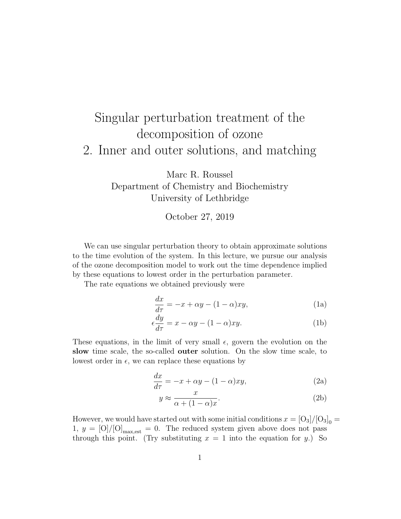## Singular perturbation treatment of the decomposition of ozone 2. Inner and outer solutions, and matching

Marc R. Roussel Department of Chemistry and Biochemistry University of Lethbridge

October 27, 2019

We can use singular perturbation theory to obtain approximate solutions to the time evolution of the system. In this lecture, we pursue our analysis of the ozone decomposition model to work out the time dependence implied by these equations to lowest order in the perturbation parameter.

The rate equations we obtained previously were

$$
\frac{dx}{d\tau} = -x + \alpha y - (1 - \alpha)xy,\tag{1a}
$$

$$
\epsilon \frac{dy}{d\tau} = x - \alpha y - (1 - \alpha)xy.
$$
 (1b)

These equations, in the limit of very small  $\epsilon$ , govern the evolution on the slow time scale, the so-called outer solution. On the slow time scale, to lowest order in  $\epsilon$ , we can replace these equations by

$$
\frac{dx}{d\tau} = -x + \alpha y - (1 - \alpha)xy,\tag{2a}
$$

$$
y \approx \frac{x}{\alpha + (1 - \alpha)x}.\tag{2b}
$$

However, we would have started out with some initial conditions  $x = [O_3]/[O_3]_0 =$ 1,  $y = [O]/[O]_{\text{max,est}} = 0$ . The reduced system given above does not pass through this point. (Try substituting  $x = 1$  into the equation for y.) So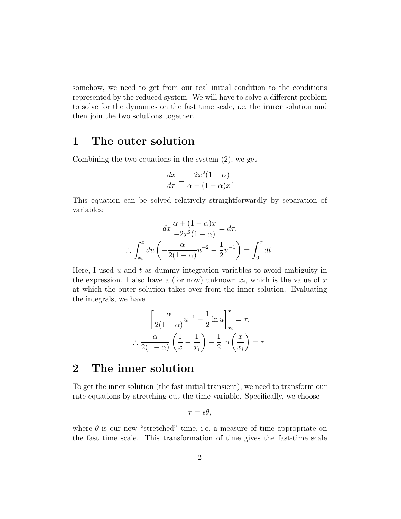somehow, we need to get from our real initial condition to the conditions represented by the reduced system. We will have to solve a different problem to solve for the dynamics on the fast time scale, i.e. the inner solution and then join the two solutions together.

## 1 The outer solution

Combining the two equations in the system (2), we get

$$
\frac{dx}{d\tau} = \frac{-2x^2(1-\alpha)}{\alpha + (1-\alpha)x}.
$$

This equation can be solved relatively straightforwardly by separation of variables:

$$
dx \frac{\alpha + (1 - \alpha)x}{-2x^2(1 - \alpha)} = d\tau.
$$

$$
\therefore \int_{x_i}^x du \left( -\frac{\alpha}{2(1 - \alpha)} u^{-2} - \frac{1}{2} u^{-1} \right) = \int_0^\tau dt.
$$

Here, I used  $u$  and  $t$  as dummy integration variables to avoid ambiguity in the expression. I also have a (for now) unknown  $x_i$ , which is the value of x at which the outer solution takes over from the inner solution. Evaluating the integrals, we have

$$
\left[\frac{\alpha}{2(1-\alpha)}u^{-1} - \frac{1}{2}\ln u\right]_{x_i}^x = \tau.
$$

$$
\therefore \frac{\alpha}{2(1-\alpha)}\left(\frac{1}{x} - \frac{1}{x_i}\right) - \frac{1}{2}\ln\left(\frac{x}{x_i}\right) = \tau.
$$

## 2 The inner solution

To get the inner solution (the fast initial transient), we need to transform our rate equations by stretching out the time variable. Specifically, we choose

$$
\tau = \epsilon \theta,
$$

where  $\theta$  is our new "stretched" time, i.e. a measure of time appropriate on the fast time scale. This transformation of time gives the fast-time scale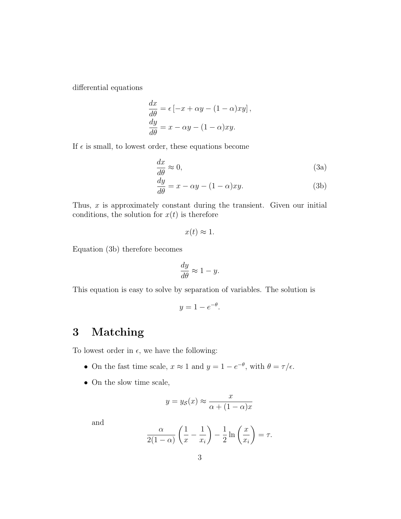differential equations

$$
\frac{dx}{d\theta} = \epsilon [-x + \alpha y - (1 - \alpha)xy],
$$
  

$$
\frac{dy}{d\theta} = x - \alpha y - (1 - \alpha)xy.
$$

If  $\epsilon$  is small, to lowest order, these equations become

$$
\frac{dx}{d\theta} \approx 0,\tag{3a}
$$

$$
\frac{dy}{d\theta} = x - \alpha y - (1 - \alpha)xy.
$$
 (3b)

Thus,  $x$  is approximately constant during the transient. Given our initial conditions, the solution for  $x(t)$  is therefore

$$
x(t) \approx 1.
$$

Equation (3b) therefore becomes

$$
\frac{dy}{d\theta} \approx 1 - y.
$$

This equation is easy to solve by separation of variables. The solution is

$$
y = 1 - e^{-\theta}.
$$

## 3 Matching

To lowest order in  $\epsilon$ , we have the following:

- On the fast time scale,  $x \approx 1$  and  $y = 1 e^{-\theta}$ , with  $\theta = \tau/\epsilon$ .
- On the slow time scale,

$$
y = y_{\mathcal{S}}(x) \approx \frac{x}{\alpha + (1 - \alpha)x}
$$

and

$$
\frac{\alpha}{2(1-\alpha)}\left(\frac{1}{x}-\frac{1}{x_i}\right)-\frac{1}{2}\ln\left(\frac{x}{x_i}\right)=\tau.
$$